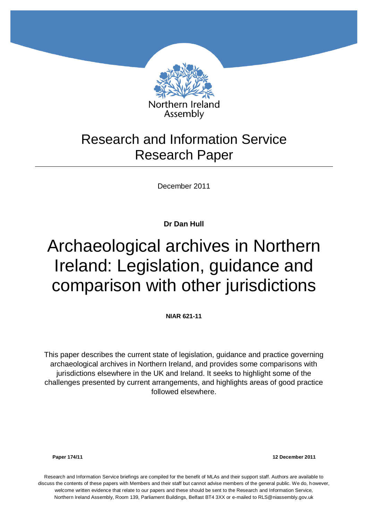

## Research and Information Service Research Paper

December 2011

**Dr Dan Hull**

# Archaeological archives in Northern Ireland: Legislation, guidance and comparison with other jurisdictions

**NIAR 621-11**

This paper describes the current state of legislation, guidance and practice governing archaeological archives in Northern Ireland, and provides some comparisons with jurisdictions elsewhere in the UK and Ireland. It seeks to highlight some of the challenges presented by current arrangements, and highlights areas of good practice followed elsewhere.

**Paper 174/11 12 December 2011**

Research and Information Service briefings are compiled for the benefit of MLAs and their support staff. Authors are available to discuss the contents of these papers with Members and their staff but cannot advise members of the general public. We do, however, welcome written evidence that relate to our papers and these should be sent to the Research and Information Service, Northern Ireland Assembly, Room 139, Parliament Buildings, Belfast BT4 3XX or e-mailed to RLS@niassembly.gov.uk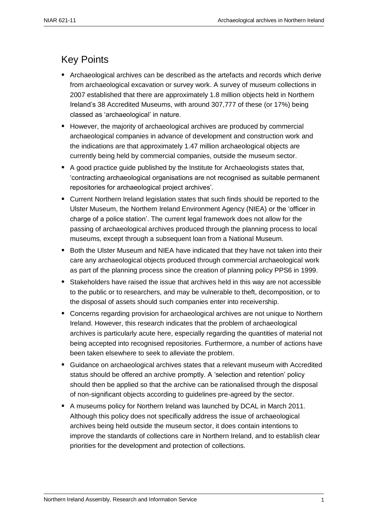### <span id="page-2-0"></span>Key Points

- Archaeological archives can be described as the artefacts and records which derive from archaeological excavation or survey work. A survey of museum collections in 2007 established that there are approximately 1.8 million objects held in Northern Ireland's 38 Accredited Museums, with around 307,777 of these (or 17%) being classed as 'archaeological' in nature.
- **H** However, the majority of archaeological archives are produced by commercial archaeological companies in advance of development and construction work and the indications are that approximately 1.47 million archaeological objects are currently being held by commercial companies, outside the museum sector.
- A good practice quide published by the Institute for Archaeologists states that, 'contracting archaeological organisations are not recognised as suitable permanent repositories for archaeological project archives'.
- Current Northern Ireland legislation states that such finds should be reported to the Ulster Museum, the Northern Ireland Environment Agency (NIEA) or the 'officer in charge of a police station'. The current legal framework does not allow for the passing of archaeological archives produced through the planning process to local museums, except through a subsequent loan from a National Museum.
- Both the Ulster Museum and NIEA have indicated that they have not taken into their care any archaeological objects produced through commercial archaeological work as part of the planning process since the creation of planning policy PPS6 in 1999.
- Stakeholders have raised the issue that archives held in this way are not accessible to the public or to researchers, and may be vulnerable to theft, decomposition, or to the disposal of assets should such companies enter into receivership.
- Concerns regarding provision for archaeological archives are not unique to Northern Ireland. However, this research indicates that the problem of archaeological archives is particularly acute here, especially regarding the quantities of material not being accepted into recognised repositories. Furthermore, a number of actions have been taken elsewhere to seek to alleviate the problem.
- Guidance on archaeological archives states that a relevant museum with Accredited status should be offered an archive promptly. A 'selection and retention' policy should then be applied so that the archive can be rationalised through the disposal of non-significant objects according to guidelines pre-agreed by the sector.
- A museums policy for Northern Ireland was launched by DCAL in March 2011. Although this policy does not specifically address the issue of archaeological archives being held outside the museum sector, it does contain intentions to improve the standards of collections care in Northern Ireland, and to establish clear priorities for the development and protection of collections.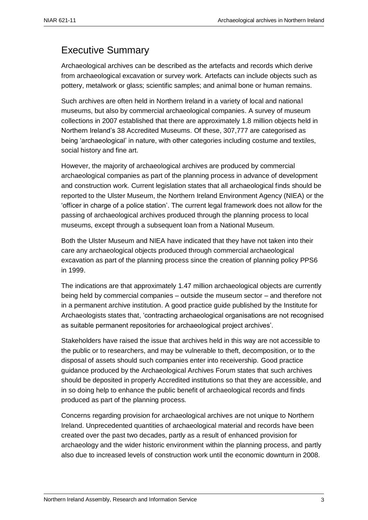### <span id="page-4-0"></span>Executive Summary

Archaeological archives can be described as the artefacts and records which derive from archaeological excavation or survey work. Artefacts can include objects such as pottery, metalwork or glass; scientific samples; and animal bone or human remains.

Such archives are often held in Northern Ireland in a variety of local and national museums, but also by commercial archaeological companies. A survey of museum collections in 2007 established that there are approximately 1.8 million objects held in Northern Ireland's 38 Accredited Museums. Of these, 307,777 are categorised as being 'archaeological' in nature, with other categories including costume and textiles, social history and fine art.

However, the majority of archaeological archives are produced by commercial archaeological companies as part of the planning process in advance of development and construction work. Current legislation states that all archaeological finds should be reported to the Ulster Museum, the Northern Ireland Environment Agency (NIEA) or the 'officer in charge of a police station'. The current legal framework does not allow for the passing of archaeological archives produced through the planning process to local museums, except through a subsequent loan from a National Museum.

Both the Ulster Museum and NIEA have indicated that they have not taken into their care any archaeological objects produced through commercial archaeological excavation as part of the planning process since the creation of planning policy PPS6 in 1999.

The indications are that approximately 1.47 million archaeological objects are currently being held by commercial companies – outside the museum sector – and therefore not in a permanent archive institution. A good practice guide published by the Institute for Archaeologists states that, 'contracting archaeological organisations are not recognised as suitable permanent repositories for archaeological project archives'.

Stakeholders have raised the issue that archives held in this way are not accessible to the public or to researchers, and may be vulnerable to theft, decomposition, or to the disposal of assets should such companies enter into receivership. Good practice guidance produced by the Archaeological Archives Forum states that such archives should be deposited in properly Accredited institutions so that they are accessible, and in so doing help to enhance the public benefit of archaeological records and finds produced as part of the planning process.

Concerns regarding provision for archaeological archives are not unique to Northern Ireland. Unprecedented quantities of archaeological material and records have been created over the past two decades, partly as a result of enhanced provision for archaeology and the wider historic environment within the planning process, and partly also due to increased levels of construction work until the economic downturn in 2008.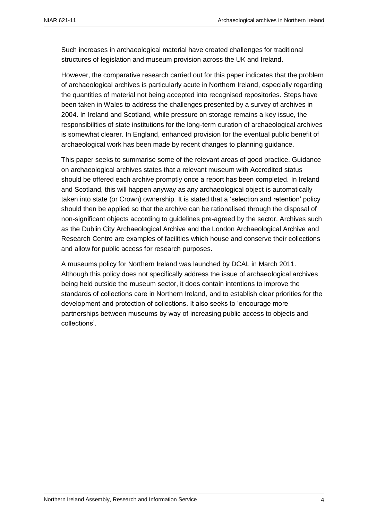Such increases in archaeological material have created challenges for traditional structures of legislation and museum provision across the UK and Ireland.

However, the comparative research carried out for this paper indicates that the problem of archaeological archives is particularly acute in Northern Ireland, especially regarding the quantities of material not being accepted into recognised repositories. Steps have been taken in Wales to address the challenges presented by a survey of archives in 2004. In Ireland and Scotland, while pressure on storage remains a key issue, the responsibilities of state institutions for the long-term curation of archaeological archives is somewhat clearer. In England, enhanced provision for the eventual public benefit of archaeological work has been made by recent changes to planning guidance.

This paper seeks to summarise some of the relevant areas of good practice. Guidance on archaeological archives states that a relevant museum with Accredited status should be offered each archive promptly once a report has been completed. In Ireland and Scotland, this will happen anyway as any archaeological object is automatically taken into state (or Crown) ownership. It is stated that a 'selection and retention' policy should then be applied so that the archive can be rationalised through the disposal of non-significant objects according to guidelines pre-agreed by the sector. Archives such as the Dublin City Archaeological Archive and the London Archaeological Archive and Research Centre are examples of facilities which house and conserve their collections and allow for public access for research purposes.

A museums policy for Northern Ireland was launched by DCAL in March 2011. Although this policy does not specifically address the issue of archaeological archives being held outside the museum sector, it does contain intentions to improve the standards of collections care in Northern Ireland, and to establish clear priorities for the development and protection of collections. It also seeks to 'encourage more partnerships between museums by way of increasing public access to objects and collections'.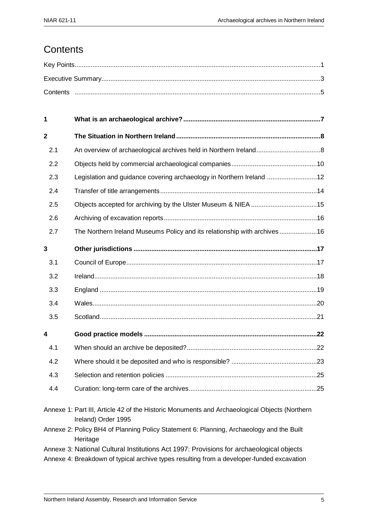### <span id="page-6-0"></span>**Contents**

| 1                       |                                                                                                                      |    |
|-------------------------|----------------------------------------------------------------------------------------------------------------------|----|
| $\mathbf{2}$            |                                                                                                                      |    |
| 2.1                     |                                                                                                                      |    |
| 2.2                     |                                                                                                                      |    |
| 2.3                     | Legislation and guidance covering archaeology in Northern Ireland 12                                                 |    |
| 2.4                     |                                                                                                                      |    |
| 2.5                     |                                                                                                                      |    |
| 2.6                     |                                                                                                                      |    |
| 2.7                     | The Northern Ireland Museums Policy and its relationship with archives 16                                            |    |
| 3                       |                                                                                                                      |    |
| 3.1                     |                                                                                                                      |    |
| 3.2                     |                                                                                                                      |    |
| 3.3                     |                                                                                                                      |    |
| 3.4                     |                                                                                                                      |    |
| 3.5                     |                                                                                                                      |    |
| $\overline{\mathbf{4}}$ |                                                                                                                      |    |
| 4.1                     |                                                                                                                      |    |
| 4.2                     |                                                                                                                      |    |
| 4.3                     |                                                                                                                      |    |
| 4.4                     |                                                                                                                      | 25 |
|                         | Annexe 1: Part III, Article 42 of the Historic Monuments and Archaeological Objects (Northern<br>Ireland) Order 1995 |    |
|                         | Annexe 2: Policy BH4 of Planning Policy Statement 6: Planning, Archaeology and the Built<br>Heritage                 |    |

- Annexe 3: National Cultural Institutions Act 1997: Provisions for archaeological objects
- Annexe 4: Breakdown of typical archive types resulting from a developer-funded excavation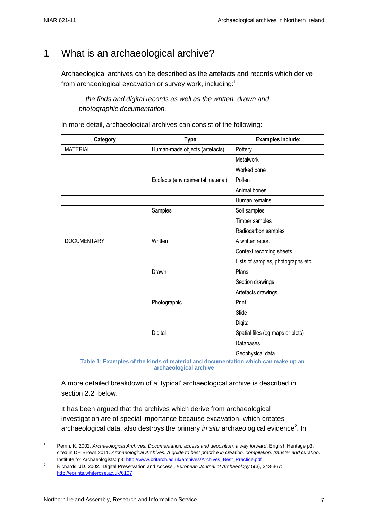### <span id="page-8-0"></span>1 What is an archaeological archive?

Archaeological archives can be described as the artefacts and records which derive from archaeological excavation or survey work, including:<sup>1</sup>

*…the finds and digital records as well as the written, drawn and photographic documentation.*

In more detail, archaeological archives can consist of the following:

| Category<br><b>Type</b> |                                   | Examples include:                 |  |  |
|-------------------------|-----------------------------------|-----------------------------------|--|--|
| <b>MATERIAL</b>         | Human-made objects (artefacts)    | Pottery                           |  |  |
|                         |                                   | Metalwork                         |  |  |
|                         |                                   | Worked bone                       |  |  |
|                         | Ecofacts (environmental material) | Pollen                            |  |  |
|                         |                                   | Animal bones                      |  |  |
|                         |                                   | Human remains                     |  |  |
|                         | Samples                           | Soil samples                      |  |  |
|                         |                                   | Timber samples                    |  |  |
|                         |                                   | Radiocarbon samples               |  |  |
| <b>DOCUMENTARY</b>      | Written                           | A written report                  |  |  |
|                         |                                   | Context recording sheets          |  |  |
|                         |                                   | Lists of samples, photographs etc |  |  |
|                         | Drawn                             | Plans                             |  |  |
|                         |                                   | Section drawings                  |  |  |
|                         |                                   | Artefacts drawings                |  |  |
|                         | Photographic                      | Print                             |  |  |
|                         |                                   | Slide                             |  |  |
|                         |                                   | Digital                           |  |  |
|                         | Digital                           | Spatial files (eg maps or plots)  |  |  |
|                         |                                   | Databases                         |  |  |
|                         |                                   | Geophysical data                  |  |  |

 **Table 1: Examples of the kinds of material and documentation which can make up an archaeological archive**

A more detailed breakdown of a 'typical' archaeological archive is described in section 2.2, below.

It has been argued that the archives which derive from archaeological investigation are of special importance because excavation, which creates archaeological data, also destroys the primary *in situ* archaeological evidence<sup>2</sup>. In

<u>.</u>

<sup>1</sup> Perrin, K. 2002: *Archaeological Archives: Documentation, access and deposition: a way forward*. English Heritage p3; cited in DH Brown 2011. *Archaeological Archives: A guide to best practice in creation, compilation, transfer and curation*. Institute for Archaeologists: p3: [http://www.britarch.ac.uk/archives/Archives\\_Best\\_Practice.pdf](http://www.britarch.ac.uk/archives/Archives_Best_Practice.pdf)

<sup>2</sup> Richards, JD. 2002. 'Digital Preservation and Access', *European Journal of Archaeology* 5(3), 343-367: <http://eprints.whiterose.ac.uk/6107>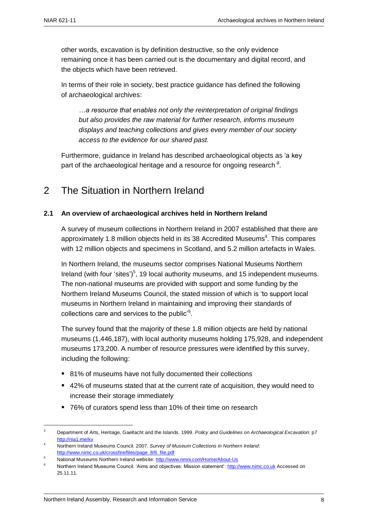other words, excavation is by definition destructive, so the only evidence remaining once it has been carried out is the documentary and digital record, and the objects which have been retrieved.

In terms of their role in society, best practice guidance has defined the following of archaeological archives:

*…a resource that enables not only the reinterpretation of original findings but also provides the raw material for further research, informs museum displays and teaching collections and gives every member of our society access to the evidence for our shared past.*

Furthermore, guidance in Ireland has described archaeological objects as 'a key part of the archaeological heritage and a resource for ongoing research*'* 3 .

### <span id="page-9-1"></span><span id="page-9-0"></span>2 The Situation in Northern Ireland

#### **2.1 An overview of archaeological archives held in Northern Ireland**

A survey of museum collections in Northern Ireland in 2007 established that there are approximately 1.8 million objects held in its 38 Accredited Museums<sup>4</sup>. This compares with 12 million objects and specimens in Scotland, and 5.2 million artefacts in Wales.

In Northern Ireland, the museums sector comprises National Museums Northern Ireland (with four 'sites')<sup>5</sup>, 19 local authority museums, and 15 independent museums. The non-national museums are provided with support and some funding by the Northern Ireland Museums Council, the stated mission of which is 'to support local museums in Northern Ireland in maintaining and improving their standards of collections care and services to the public'<sup>6</sup>.

The survey found that the majority of these 1.8 million objects are held by national museums (1,446,187), with local authority museums holding 175,928, and independent museums 173,200. A number of resource pressures were identified by this survey, including the following:

- 81% of museums have not fully documented their collections
- 42% of museums stated that at the current rate of acquisition, they would need to increase their storage immediately
- 76% of curators spend less than 10% of their time on research

 $\overline{3}$ <sup>3</sup> Department of Arts, Heritage, Gaeltacht and the Islands. 1999. *Policy and Guidelines on Archaeological Excavation*: p7 <http://nia1.me/kv>

<sup>4</sup> Northern Ireland Museums Council. 2007. *Survey of Museum Collections in Northern Ireland*: [http://www.nimc.co.uk/crossfire/files/page\\_8/6\\_file.pdf](http://www.nimc.co.uk/crossfire/files/page_8/6_file.pdf)

<sup>5</sup> National Museums Northern Ireland website:<http://www.nmni.com/Home/About-Us>

<sup>6</sup> Northern Ireland Museums Council. 'Aims and objectives: Mission statement': [http://www.nimc.co.uk](http://www.nimc.co.uk/) Accessed on 25.11.11.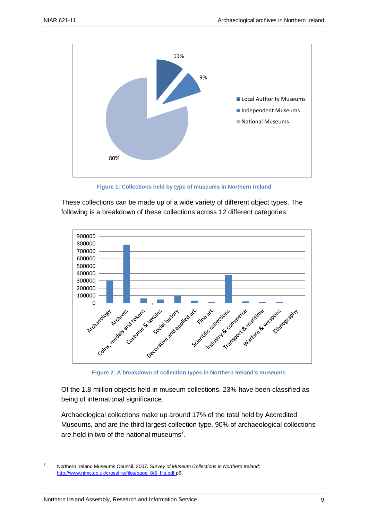

**Figure 1: Collections held by type of museums in Northern Ireland**

These collections can be made up of a wide variety of different object types. The following is a breakdown of these collections across 12 different categories:



 **Figure 2: A breakdown of collection types in Northern Ireland's museums**

Of the 1.8 million objects held in museum collections, 23% have been classified as being of international significance.

Archaeological collections make up around 17% of the total held by Accredited Museums, and are the third largest collection type. 90% of archaeological collections are held in two of the national museums<sup>7</sup>.

1

<sup>7</sup> Northern Ireland Museums Council. 2007. *Survey of Museum Collections in Northern Ireland*: [http://www.nimc.co.uk/crossfire/files/page\\_8/6\\_file.pdf](http://www.nimc.co.uk/crossfire/files/page_8/6_file.pdf) p6.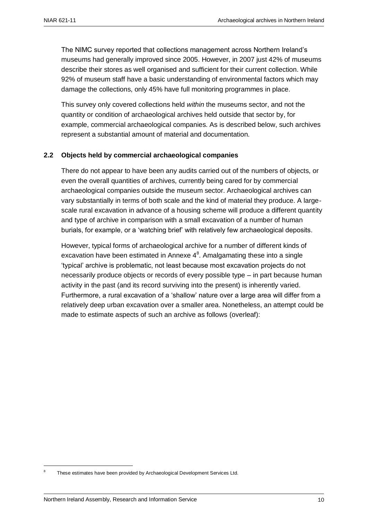The NIMC survey reported that collections management across Northern Ireland's museums had generally improved since 2005. However, in 2007 just 42% of museums describe their stores as well organised and sufficient for their current collection. While 92% of museum staff have a basic understanding of environmental factors which may damage the collections, only 45% have full monitoring programmes in place.

This survey only covered collections held *within* the museums sector, and not the quantity or condition of archaeological archives held outside that sector by, for example, commercial archaeological companies. As is described below, such archives represent a substantial amount of material and documentation.

#### <span id="page-11-0"></span>**2.2 Objects held by commercial archaeological companies**

There do not appear to have been any audits carried out of the numbers of objects, or even the overall quantities of archives, currently being cared for by commercial archaeological companies outside the museum sector. Archaeological archives can vary substantially in terms of both scale and the kind of material they produce. A largescale rural excavation in advance of a housing scheme will produce a different quantity and type of archive in comparison with a small excavation of a number of human burials, for example, or a 'watching brief' with relatively few archaeological deposits.

However, typical forms of archaeological archive for a number of different kinds of excavation have been estimated in Annexe  $4^8$ . Amalgamating these into a single 'typical' archive is problematic, not least because most excavation projects do not necessarily produce objects or records of every possible type – in part because human activity in the past (and its record surviving into the present) is inherently varied. Furthermore, a rural excavation of a 'shallow' nature over a large area will differ from a relatively deep urban excavation over a smaller area. Nonetheless, an attempt could be made to estimate aspects of such an archive as follows (overleaf):

<u>.</u>

<sup>8</sup> These estimates have been provided by Archaeological Development Services Ltd.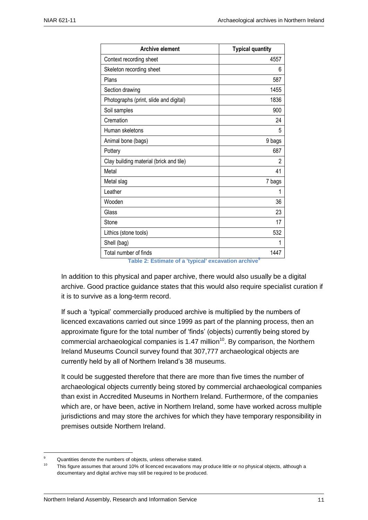| <b>Archive element</b>                                                                        | <b>Typical quantity</b> |
|-----------------------------------------------------------------------------------------------|-------------------------|
| Context recording sheet                                                                       | 4557                    |
| Skeleton recording sheet                                                                      | 6                       |
| Plans                                                                                         | 587                     |
| Section drawing                                                                               | 1455                    |
| Photographs (print, slide and digital)                                                        | 1836                    |
| Soil samples                                                                                  | 900                     |
| Cremation                                                                                     | 24                      |
| Human skeletons                                                                               | 5                       |
| Animal bone (bags)                                                                            | 9 bags                  |
| Pottery                                                                                       | 687                     |
| Clay building material (brick and tile)                                                       | 2                       |
| Metal                                                                                         | 41                      |
| Metal slag                                                                                    | 7 bags                  |
| Leather                                                                                       | 1                       |
| Wooden                                                                                        | 36                      |
| Glass                                                                                         | 23                      |
| Stone                                                                                         | 17                      |
| Lithics (stone tools)                                                                         | 532                     |
| Shell (bag)                                                                                   | 1                       |
| Total number of finds                                                                         | 1447                    |
| Table 2: ${{\sf Extimate\ of\ a\ }^{\sf It}}$ and ${{\sf A}}^{\sf I}$ and ${{\sf A}}^{\sf I}$ |                         |

 **Table 2: Estimate of a 'typical' excavation archive<sup>9</sup>**

In addition to this physical and paper archive, there would also usually be a digital archive. Good practice guidance states that this would also require specialist curation if it is to survive as a long-term record.

If such a 'typical' commercially produced archive is multiplied by the numbers of licenced excavations carried out since 1999 as part of the planning process, then an approximate figure for the total number of 'finds' (objects) currently being stored by commercial archaeological companies is 1.47 million<sup>10</sup>. By comparison, the Northern Ireland Museums Council survey found that 307,777 archaeological objects are currently held by all of Northern Ireland's 38 museums.

It could be suggested therefore that there are more than five times the number of archaeological objects currently being stored by commercial archaeological companies than exist in Accredited Museums in Northern Ireland. Furthermore, of the companies which are, or have been, active in Northern Ireland, some have worked across multiple jurisdictions and may store the archives for which they have temporary responsibility in premises outside Northern Ireland.

1

<sup>9</sup> Quantities denote the numbers of objects, unless otherwise stated.

This figure assumes that around 10% of licenced excavations may produce little or no physical objects, although a documentary and digital archive may still be required to be produced.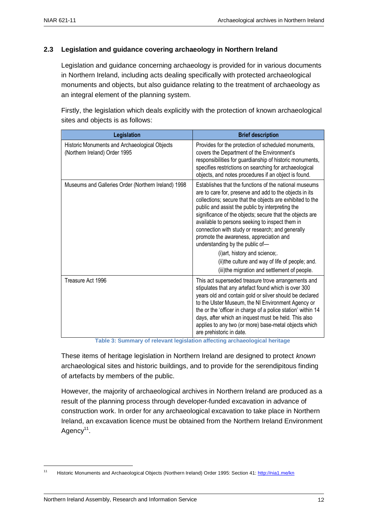#### <span id="page-13-0"></span>**2.3 Legislation and guidance covering archaeology in Northern Ireland**

Legislation and guidance concerning archaeology is provided for in various documents in Northern Ireland, including acts dealing specifically with protected archaeological monuments and objects, but also guidance relating to the treatment of archaeology as an integral element of the planning system.

Firstly, the legislation which deals explicitly with the protection of known archaeological sites and objects is as follows:

| Legislation                                                                    | <b>Brief description</b>                                                                                                                                                                                                                                                                                                                                                                                                                                                                                                                                                                                                  |  |  |
|--------------------------------------------------------------------------------|---------------------------------------------------------------------------------------------------------------------------------------------------------------------------------------------------------------------------------------------------------------------------------------------------------------------------------------------------------------------------------------------------------------------------------------------------------------------------------------------------------------------------------------------------------------------------------------------------------------------------|--|--|
| Historic Monuments and Archaeological Objects<br>(Northern Ireland) Order 1995 | Provides for the protection of scheduled monuments,<br>covers the Department of the Environment's<br>responsibilities for guardianship of historic monuments,<br>specifies restrictions on searching for archaeological<br>objects, and notes procedures if an object is found.                                                                                                                                                                                                                                                                                                                                           |  |  |
| Museums and Galleries Order (Northern Ireland) 1998                            | Establishes that the functions of the national museums<br>are to care for, preserve and add to the objects in its<br>collections; secure that the objects are exhibited to the<br>public and assist the public by interpreting the<br>significance of the objects; secure that the objects are<br>available to persons seeking to inspect them in<br>connection with study or research; and generally<br>promote the awareness, appreciation and<br>understanding by the public of-<br>(i) art, history and science;.<br>(ii) the culture and way of life of people; and.<br>(iii)the migration and settlement of people. |  |  |
| Treasure Act 1996                                                              | This act superseded treasure trove arrangements and<br>stipulates that any artefact found which is over 300<br>years old and contain gold or silver should be declared<br>to the Ulster Museum, the NI Environment Agency or<br>the or the 'officer in charge of a police station' within 14<br>days, after which an inquest must be held. This also<br>applies to any two (or more) base-metal objects which<br>are prehistoric in date.                                                                                                                                                                                 |  |  |

**Table 3: Summary of relevant legislation affecting archaeological heritage**

These items of heritage legislation in Northern Ireland are designed to protect *known* archaeological sites and historic buildings, and to provide for the serendipitous finding of artefacts by members of the public.

However, the majority of archaeological archives in Northern Ireland are produced as a result of the planning process through developer-funded excavation in advance of construction work. In order for any archaeological excavation to take place in Northern Ireland, an excavation licence must be obtained from the Northern Ireland Environment Agency<sup>11</sup>.

 $11$ Historic Monuments and Archaeological Objects (Northern Ireland) Order 1995: Section 41:<http://nia1.me/kn>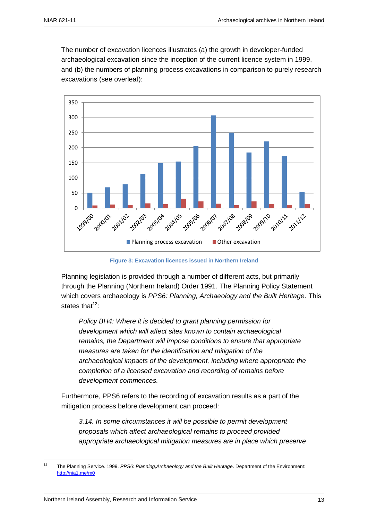The number of excavation licences illustrates (a) the growth in developer-funded archaeological excavation since the inception of the current licence system in 1999, and (b) the numbers of planning process excavations in comparison to purely research excavations (see overleaf):



**Figure 3: Excavation licences issued in Northern Ireland**

Planning legislation is provided through a number of different acts, but primarily through the Planning (Northern Ireland) Order 1991. The Planning Policy Statement which covers archaeology is *PPS6: Planning, Archaeology and the Built Heritage*. This states that $12$ .

*Policy BH4: Where it is decided to grant planning permission for development which will affect sites known to contain archaeological remains, the Department will impose conditions to ensure that appropriate measures are taken for the identification and mitigation of the archaeological impacts of the development, including where appropriate the completion of a licensed excavation and recording of remains before development commences.*

Furthermore, PPS6 refers to the recording of excavation results as a part of the mitigation process before development can proceed:

*3.14. In some circumstances it will be possible to permit development proposals which affect archaeological remains to proceed provided appropriate archaeological mitigation measures are in place which preserve* 

 $12$ <sup>12</sup> The Planning Service. 1999. *PPS6: Planning,Archaeology and the Built Heritage*. Department of the Environment: <http://nia1.me/m0>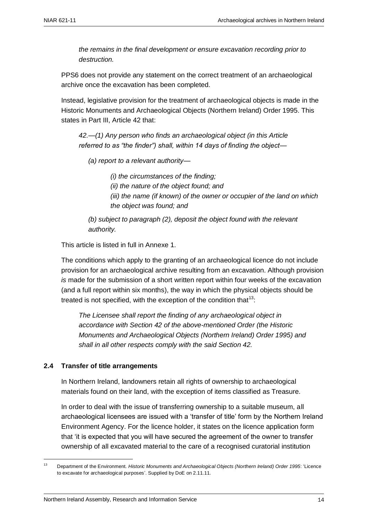*the remains in the final development or ensure excavation recording prior to destruction.*

PPS6 does not provide any statement on the correct treatment of an archaeological archive once the excavation has been completed.

Instead, legislative provision for the treatment of archaeological objects is made in the Historic Monuments and Archaeological Objects (Northern Ireland) Order 1995. This states in Part III, Article 42 that:

*42.—(1) Any person who finds an archaeological object (in this Article referred to as "the finder") shall, within 14 days of finding the object—*

*(a) report to a relevant authority—*

*(i) the circumstances of the finding; (ii) the nature of the object found; and (iii) the name (if known) of the owner or occupier of the land on which the object was found; and*

*(b) subject to paragraph (2), deposit the object found with the relevant authority.*

This article is listed in full in Annexe 1.

The conditions which apply to the granting of an archaeological licence do not include provision for an archaeological archive resulting from an excavation. Although provision *is* made for the submission of a short written report within four weeks of the excavation (and a full report within six months), the way in which the physical objects should be treated is not specified, with the exception of the condition that  $13$ .

*The Licensee shall report the finding of any archaeological object in accordance with Section 42 of the above-mentioned Order (the Historic Monuments and Archaeological Objects (Northern Ireland) Order 1995) and shall in all other respects comply with the said Section 42.*

#### <span id="page-15-0"></span>**2.4 Transfer of title arrangements**

In Northern Ireland, landowners retain all rights of ownership to archaeological materials found on their land, with the exception of items classified as Treasure.

In order to deal with the issue of transferring ownership to a suitable museum, all archaeological licensees are issued with a 'transfer of title' form by the Northern Ireland Environment Agency. For the licence holder, it states on the licence application form that 'it is expected that you will have secured the agreement of the owner to transfer ownership of all excavated material to the care of a recognised curatorial institution

 $13<sup>13</sup>$ <sup>13</sup> Department of the Environment. *Historic Monuments and Archaeological Objects (Northern Ireland) Order 1995*: 'Licence to excavate for archaeological purposes'. Supplied by DoE on 2.11.11.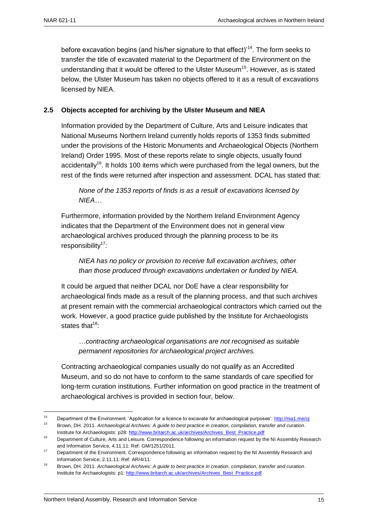before excavation begins (and his/her signature to that effect)<sup>14</sup>. The form seeks to transfer the title of excavated material to the Department of the Environment on the understanding that it would be offered to the Ulster Museum<sup>15</sup>. However, as is stated below, the Ulster Museum has taken no objects offered to it as a result of excavations licensed by NIEA.

#### <span id="page-16-0"></span>**2.5 Objects accepted for archiving by the Ulster Museum and NIEA**

Information provided by the Department of Culture, Arts and Leisure indicates that National Museums Northern Ireland currently holds reports of 1353 finds submitted under the provisions of the Historic Monuments and Archaeological Objects (Northern Ireland) Order 1995. Most of these reports relate to single objects, usually found accidentally<sup>16</sup>. It holds 100 items which were purchased from the legal owners, but the rest of the finds were returned after inspection and assessment. DCAL has stated that:

*None of the 1353 reports of finds is as a result of excavations licensed by NIEA…*

Furthermore, information provided by the Northern Ireland Environment Agency indicates that the Department of the Environment does not in general view archaeological archives produced through the planning process to be its responsibility<sup>17</sup>:

*NIEA has no policy or provision to receive full excavation archives, other than those produced through excavations undertaken or funded by NIEA.*

It could be argued that neither DCAL nor DoE have a clear responsibility for archaeological finds made as a result of the planning process, and that such archives at present remain with the commercial archaeological contractors which carried out the work. However, a good practice guide published by the Institute for Archaeologists states that $18$ :

*…contracting archaeological organisations are not recognised as suitable permanent repositories for archaeological project archives.*

Contracting archaeological companies usually do not qualify as an Accredited Museum, and so do not have to conform to the same standards of care specified for long-term curation institutions. Further information on good practice in the treatment of archaeological archives is provided in section four, below.

1

<sup>14</sup> Department of the Environment. 'Application for a licence to excavate for archaeological purposes':<http://nia1.me/oj><br>15 December 2014 Application of Applications Applications for a licence in providence would the depar <sup>15</sup> Brown, DH. 2011. *Archaeological Archives: A guide to best practice in creation, compilation, transfer and curation*.

Institute for Archaeologists: p28[: http://www.britarch.ac.uk/archives/Archives\\_Best\\_Practice.pdf](http://www.britarch.ac.uk/archives/Archives_Best_Practice.pdf)

<sup>16</sup> Department of Culture, Arts and Leisure. Correspondence following an information request by the NI Assembly Research and Information Service, 4.11.11: Ref: GM/1251/2011.

<sup>17</sup> Department of the Environment. Correspondence following an information request by the NI Assembly Research and Information Service, 2.11.11: Ref: AR/4/11.

<sup>18</sup> Brown, DH. 2011. *Archaeological Archives: A guide to best practice in creation, compilation, transfer and curation*. Institute for Archaeologists: p1: [http://www.britarch.ac.uk/archives/Archives\\_Best\\_Practice.pdf](http://www.britarch.ac.uk/archives/Archives_Best_Practice.pdf)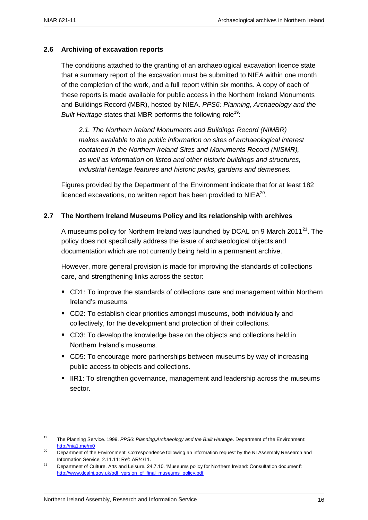#### <span id="page-17-0"></span>**2.6 Archiving of excavation reports**

The conditions attached to the granting of an archaeological excavation licence state that a summary report of the excavation must be submitted to NIEA within one month of the completion of the work, and a full report within six months. A copy of each of these reports is made available for public access in the Northern Ireland Monuments and Buildings Record (MBR), hosted by NIEA. *PPS6: Planning, Archaeology and the Built Heritage* states that MBR performs the following role<sup>19</sup>:

*2.1. The Northern Ireland Monuments and Buildings Record (NIMBR) makes available to the public information on sites of archaeological interest contained in the Northern Ireland Sites and Monuments Record (NISMR), as well as information on listed and other historic buildings and structures, industrial heritage features and historic parks, gardens and demesnes.*

Figures provided by the Department of the Environment indicate that for at least 182 licenced excavations, no written report has been provided to NIEA $^{20}$ .

#### <span id="page-17-1"></span>**2.7 The Northern Ireland Museums Policy and its relationship with archives**

A museums policy for Northern Ireland was launched by DCAL on 9 March 2011<sup>21</sup>. The policy does not specifically address the issue of archaeological objects and documentation which are not currently being held in a permanent archive.

However, more general provision is made for improving the standards of collections care, and strengthening links across the sector:

- CD1: To improve the standards of collections care and management within Northern Ireland's museums.
- CD2: To establish clear priorities amongst museums, both individually and collectively, for the development and protection of their collections.
- CD3: To develop the knowledge base on the objects and collections held in Northern Ireland's museums.
- CD5: To encourage more partnerships between museums by way of increasing public access to objects and collections.
- IIR1: To strengthen governance, management and leadership across the museums sector.

1

<sup>19</sup> The Planning Service. 1999. *PPS6: Planning,Archaeology and the Built Heritage*. Department of the Environment: <http://nia1.me/m0>

<sup>&</sup>lt;sup>20</sup> Department of the Environment. Correspondence following an information request by the NI Assembly Research and Information Service, 2.11.11: Ref: AR/4/11.

<sup>&</sup>lt;sup>21</sup> Department of Culture, Arts and Leisure. 24.7.10. 'Museums policy for Northern Ireland: Consultation document': [http://www.dcalni.gov.uk/pdf\\_version\\_of\\_final\\_museums\\_policy.pdf](http://www.dcalni.gov.uk/pdf_version_of_final_museums_policy.pdf)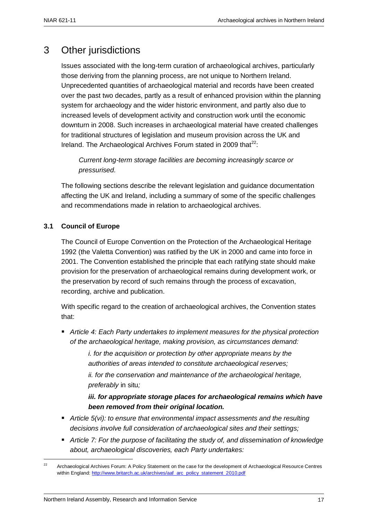### <span id="page-18-0"></span>3 Other jurisdictions

Issues associated with the long-term curation of archaeological archives, particularly those deriving from the planning process, are not unique to Northern Ireland. Unprecedented quantities of archaeological material and records have been created over the past two decades, partly as a result of enhanced provision within the planning system for archaeology and the wider historic environment, and partly also due to increased levels of development activity and construction work until the economic downturn in 2008. Such increases in archaeological material have created challenges for traditional structures of legislation and museum provision across the UK and Ireland. The Archaeological Archives Forum stated in 2009 that $^{22}$ :

*Current long-term storage facilities are becoming increasingly scarce or pressurised.*

The following sections describe the relevant legislation and guidance documentation affecting the UK and Ireland, including a summary of some of the specific challenges and recommendations made in relation to archaeological archives.

#### <span id="page-18-1"></span>**3.1 Council of Europe**

The Council of Europe Convention on the Protection of the Archaeological Heritage 1992 (the Valetta Convention) was ratified by the UK in 2000 and came into force in 2001. The Convention established the principle that each ratifying state should make provision for the preservation of archaeological remains during development work, or the preservation by record of such remains through the process of excavation, recording, archive and publication.

With specific regard to the creation of archaeological archives, the Convention states that:

 *Article 4: Each Party undertakes to implement measures for the physical protection of the archaeological heritage, making provision, as circumstances demand:*

> *i. for the acquisition or protection by other appropriate means by the authorities of areas intended to constitute archaeological reserves;*

*ii. for the conservation and maintenance of the archaeological heritage, preferably* in situ*;*

*iii. for appropriate storage places for archaeological remains which have been removed from their original location.* 

- *Article 5(vi): to ensure that environmental impact assessments and the resulting decisions involve full consideration of archaeological sites and their settings;*
- *Article 7: For the purpose of facilitating the study of, and dissemination of knowledge about, archaeological discoveries, each Party undertakes:*

 $\overline{22}$ <sup>22</sup> Archaeological Archives Forum: A Policy Statement on the case for the development of Archaeological Resource Centres within England[: http://www.britarch.ac.uk/archives/aaf\\_arc\\_policy\\_statement\\_2010.pdf](http://www.britarch.ac.uk/archives/aaf_arc_policy_statement_2010.pdf)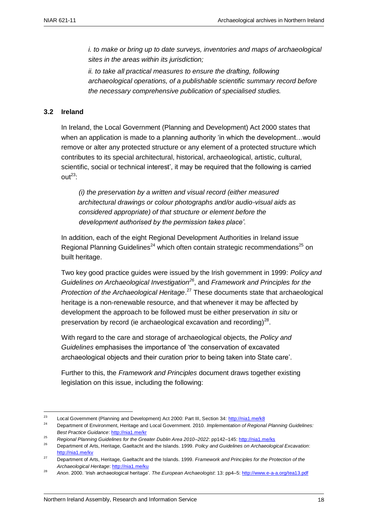*i. to make or bring up to date surveys, inventories and maps of archaeological sites in the areas within its jurisdiction;* 

*ii. to take all practical measures to ensure the drafting, following archaeological operations, of a publishable scientific summary record before the necessary comprehensive publication of specialised studies.* 

#### <span id="page-19-0"></span>**3.2 Ireland**

1

In Ireland, the Local Government (Planning and Development) Act 2000 states that when an application is made to a planning authority 'in which the development…would remove or alter any protected structure or any element of a protected structure which contributes to its special architectural, historical, archaeological, artistic, cultural, scientific, social or technical interest', it may be required that the following is carried  $\text{out}^{23}$ 

*(i) the preservation by a written and visual record (either measured architectural drawings or colour photographs and/or audio-visual aids as considered appropriate) of that structure or element before the development authorised by the permission takes place'.*

In addition, each of the eight Regional Development Authorities in Ireland issue Regional Planning Guidelines<sup>24</sup> which often contain strategic recommendations<sup>25</sup> on built heritage.

Two key good practice guides were issued by the Irish government in 1999: *Policy and Guidelines on Archaeological Investigation<sup>26</sup>*, and *Framework and Principles for the Protection of the Archaeological Heritage*. <sup>27</sup> These documents state that archaeological heritage is a non-renewable resource, and that whenever it may be affected by development the approach to be followed must be either preservation *in situ* or preservation by record (ie archaeological excavation and recording) $^{28}$ .

With regard to the care and storage of archaeological objects, the *Policy and Guidelines* emphasises the importance of 'the conservation of excavated archaeological objects and their curation prior to being taken into State care'.

Further to this, the *Framework and Principles* document draws together existing legislation on this issue, including the following:

<sup>&</sup>lt;sup>23</sup> Local Government (Planning and Development) Act 2000: Part III, Section 34: http://nia1.me/k8

<sup>24</sup> Department of Environment, Heritage and Local Government. 2010. *Implementation of Regional Planning Guidelines: Best Practice Guidance*:<http://nia1.me/kr>

<sup>25</sup> *Regional Planning Guidelines for the Greater Dublin Area 2010–2022*: pp142–145[: http://nia1.me/ks](http://nia1.me/ks)

<sup>26</sup> Department of Arts, Heritage, Gaeltacht and the Islands. 1999. *Policy and Guidelines on Archaeological Excavation*: <http://nia1.me/kv>

<sup>27</sup> Department of Arts, Heritage, Gaeltacht and the Islands. 1999. *Framework and Principles for the Protection of the Archaeological Heritage*[: http://nia1.me/ku](http://nia1.me/ku)

<sup>28</sup> *Anon*. 2000. 'Irish archaeological heritage'. *The European Archaeologist*: 13: pp4–5[: http://www.e-a-a.org/tea13.pdf](http://www.e-a-a.org/tea13.pdf)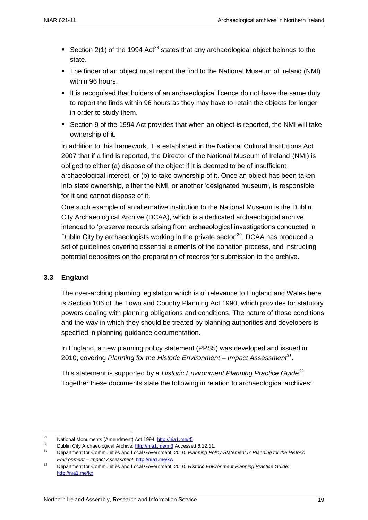- Section 2(1) of the 1994 Act<sup>29</sup> states that any archaeological object belongs to the state.
- The finder of an object must report the find to the National Museum of Ireland (NMI) within 96 hours.
- It is recognised that holders of an archaeological licence do not have the same duty to report the finds within 96 hours as they may have to retain the objects for longer in order to study them.
- Section 9 of the 1994 Act provides that when an object is reported, the NMI will take ownership of it.

In addition to this framework, it is established in the National Cultural Institutions Act 2007 that if a find is reported, the Director of the National Museum of Ireland (NMI) is obliged to either (a) dispose of the object if it is deemed to be of insufficient archaeological interest, or (b) to take ownership of it. Once an object has been taken into state ownership, either the NMI, or another 'designated museum', is responsible for it and cannot dispose of it.

One such example of an alternative institution to the National Museum is the Dublin City Archaeological Archive (DCAA), which is a dedicated archaeological archive intended to 'preserve records arising from archaeological investigations conducted in Dublin City by archaeologists working in the private sector<sup>30</sup>. DCAA has produced a set of guidelines covering essential elements of the donation process, and instructing potential depositors on the preparation of records for submission to the archive.

#### <span id="page-20-0"></span>**3.3 England**

1

The over-arching planning legislation which is of relevance to England and Wales here is Section 106 of the Town and Country Planning Act 1990, which provides for statutory powers dealing with planning obligations and conditions. The nature of those conditions and the way in which they should be treated by planning authorities and developers is specified in planning guidance documentation.

In England, a new planning policy statement (PPS5) was developed and issued in 2010, covering *Planning for the Historic Environment – Impact Assessment<sup>31</sup>* .

This statement is supported by a *Historic Environment Planning Practice Guide<sup>32</sup>* . Together these documents state the following in relation to archaeological archives:

<sup>&</sup>lt;sup>29</sup> National Monuments (Amendment) Act 1994[: http://nia1.me/r5](http://nia1.me/r5)

<sup>&</sup>lt;sup>30</sup> Dublin City Archaeological Archive:  $\frac{http://nia1.me/m3}{}$  Accessed 6.12.11.

<sup>31</sup> Department for Communities and Local Government. 2010. *Planning Policy Statement 5: Planning for the Historic Environment – Impact Assessment*:<http://nia1.me/kw>

<sup>32</sup> Department for Communities and Local Government. 2010. *Historic Environment Planning Practice Guide*: <http://nia1.me/kx>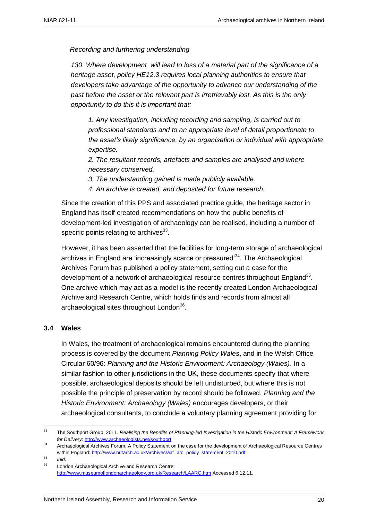#### *Recording and furthering understanding*

*130. Where development will lead to loss of a material part of the significance of a heritage asset, policy HE12.3 requires local planning authorities to ensure that developers take advantage of the opportunity to advance our understanding of the past before the asset or the relevant part is irretrievably lost. As this is the only opportunity to do this it is important that:*

*1. Any investigation, including recording and sampling, is carried out to professional standards and to an appropriate level of detail proportionate to the asset's likely significance, by an organisation or individual with appropriate expertise.* 

*2. The resultant records, artefacts and samples are analysed and where necessary conserved.*

*3. The understanding gained is made publicly available.*

*4. An archive is created, and deposited for future research.*

<span id="page-21-0"></span>Since the creation of this PPS and associated practice guide, the heritage sector in England has itself created recommendations on how the public benefits of development-led investigation of archaeology can be realised, including a number of specific points relating to archives $^{33}$ .

However, it has been asserted that the facilities for long-term storage of archaeological archives in England are 'increasingly scarce or pressured'<sup>34</sup>. The Archaeological Archives Forum has published a policy statement, setting out a case for the development of a network of archaeological resource centres throughout England<sup>35</sup>. One archive which may act as a model is the recently created London Archaeological Archive and Research Centre, which holds finds and records from almost all archaeological sites throughout London<sup>36</sup>.

#### **3.4 Wales**

In Wales, the treatment of archaeological remains encountered during the planning process is covered by the document *Planning Policy Wales*, and in the Welsh Office Circular 60/96: *Planning and the Historic Environment: Archaeology (Wales)*. In a similar fashion to other jurisdictions in the UK, these documents specify that where possible, archaeological deposits should be left undisturbed, but where this is not possible the principle of preservation by record should be followed. *Planning and the Historic Environment: Archaeology (Wales)* encourages developers, or their archaeological consultants, to conclude a voluntary planning agreement providing for

 $33<sup>3</sup>$ <sup>33</sup> The Southport Group. 2011. *Realising the Benefits of Planning-led Investigation in the Historic Environment: A Framework for Delivery*:<http://www.archaeologists.net/southport>

<sup>34</sup> Archaeological Archives Forum: A Policy Statement on the case for the development of Archaeological Resource Centres within England[: http://www.britarch.ac.uk/archives/aaf\\_arc\\_policy\\_statement\\_2010.pdf](http://www.britarch.ac.uk/archives/aaf_arc_policy_statement_2010.pdf)

<sup>35</sup> *Ibid*.

London Archaeological Archive and Research Centre: <http://www.museumoflondonarchaeology.org.uk/Research/LAARC.htm> Accessed 6.12.11.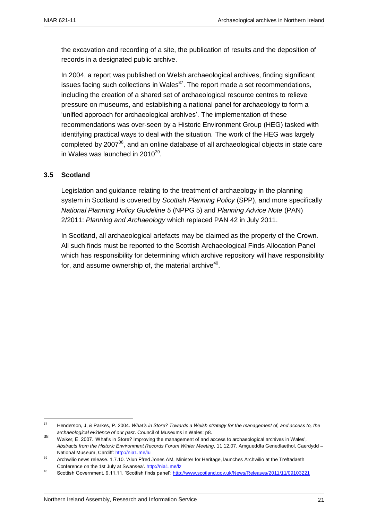the excavation and recording of a site, the publication of results and the deposition of records in a designated public archive.

In 2004, a report was published on Welsh archaeological archives, finding significant issues facing such collections in Wales $37$ . The report made a set recommendations, including the creation of a shared set of archaeological resource centres to relieve pressure on museums, and establishing a national panel for archaeology to form a 'unified approach for archaeological archives'. The implementation of these recommendations was over-seen by a Historic Environment Group (HEG) tasked with identifying practical ways to deal with the situation. The work of the HEG was largely completed by 2007<sup>38</sup>, and an online database of all archaeological objects in state care in Wales was launched in 2010 $^{39}$ .

#### <span id="page-22-0"></span>**3.5 Scotland**

Legislation and guidance relating to the treatment of archaeology in the planning system in Scotland is covered by *Scottish Planning Policy* (SPP), and more specifically *National Planning Policy Guideline 5* (NPPG 5) and *Planning Advice Note* (PAN) 2/2011: *Planning and Archaeology* which replaced PAN 42 in July 2011.

<span id="page-22-1"></span>In Scotland, all archaeological artefacts may be claimed as the property of the Crown. All such finds must be reported to the Scottish Archaeological Finds Allocation Panel which has responsibility for determining which archive repository will have responsibility for, and assume ownership of, the material archive $^{40}$ .

 $37$ <sup>37</sup> Henderson, J, & Parkes, P. 2004. *What's in Store? Towards a Welsh strategy for the management of, and access to, the archaeological evidence of our past*. Council of Museums in Wales: p8.

<sup>38</sup> Walker, E. 2007. 'What's in Store? Improving the management of and access to archaeological archives in Wales', *Abstracts from the Historic Environment Records Forum Winter Meeting*, 11.12.07. Amgueddfa Genedlaethol, Caerdydd – National Museum, Cardiff:<http://nia1.me/lu>

<sup>39</sup> Archwilio news release. 1.7.10. 'Alun Ffred Jones AM, Minister for Heritage, launches Archwilio at the Treftadaeth Conference on the 1st July at Swansea'.<http://nia1.me/lz>

<sup>40</sup> Scottish Government. 9.11.11. 'Scottish finds panel':<http://www.scotland.gov.uk/News/Releases/2011/11/09103221>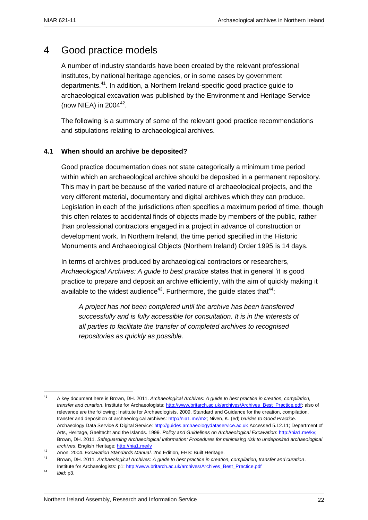### 4 Good practice models

A number of industry standards have been created by the relevant professional institutes, by national heritage agencies, or in some cases by government departments.<sup>41</sup>. In addition, a Northern Ireland-specific good practice guide to archaeological excavation was published by the Environment and Heritage Service (now NIEA) in  $2004^{42}$ .

The following is a summary of some of the relevant good practice recommendations and stipulations relating to archaeological archives.

#### <span id="page-23-0"></span>**4.1 When should an archive be deposited?**

Good practice documentation does not state categorically a minimum time period within which an archaeological archive should be deposited in a permanent repository. This may in part be because of the varied nature of archaeological projects, and the very different material, documentary and digital archives which they can produce. Legislation in each of the jurisdictions often specifies a maximum period of time, though this often relates to accidental finds of objects made by members of the public, rather than professional contractors engaged in a project in advance of construction or development work. In Northern Ireland, the time period specified in the Historic Monuments and Archaeological Objects (Northern Ireland) Order 1995 is 14 days.

In terms of archives produced by archaeological contractors or researchers, *Archaeological Archives: A guide to best practice* states that in general 'it is good practice to prepare and deposit an archive efficiently, with the aim of quickly making it available to the widest audience<sup>43</sup>. Furthermore, the quide states that<sup>44</sup>:

*A project has not been completed until the archive has been transferred successfully and is fully accessible for consultation. It is in the interests of all parties to facilitate the transfer of completed archives to recognised repositories as quickly as possible.*

<u>.</u>

<sup>41</sup> A key document here is Brown, DH. 2011. *Archaeological Archives: A guide to best practice in creation, compilation, transfer and curation*. Institute for Archaeologists[: http://www.britarch.ac.uk/archives/Archives\\_Best\\_Practice.pdf;](http://www.britarch.ac.uk/archives/Archives_Best_Practice.pdf) also of relevance are the following: Institute for Archaeologists. 2009. Standard and Guidance for the creation, compilation, transfer and deposition of archaeological archives[: http://nia1.me/m2;](http://nia1.me/m2) Niven, K. (ed) *Guides to Good Practice*. Archaeology Data Service & Digital Service: [http://guides.archaeologydataservice.ac.uk](http://guides.archaeologydataservice.ac.uk/) Accessed 5.12.11; Department of Arts, Heritage, Gaeltacht and the Islands. 1999. *Policy and Guidelines on Archaeological Excavation*[: http://nia1.me/kv;](http://nia1.me/kv) Brown, DH. 2011. *Safeguarding Archaeological Information: Procedures for minimising risk to undeposited archaeological archives*. English Heritage:<http://nia1.me/ly>

<sup>42</sup> Anon. 2004. *Excavation Standards Manual*. 2nd Edition, EHS: Built Heritage.

<sup>43</sup> Brown, DH. 2011. *Archaeological Archives: A guide to best practice in creation, compilation, transfer and curation*. Institute for Archaeologists: p1: [http://www.britarch.ac.uk/archives/Archives\\_Best\\_Practice.pdf](http://www.britarch.ac.uk/archives/Archives_Best_Practice.pdf)

<sup>44</sup> *Ibid*: p3.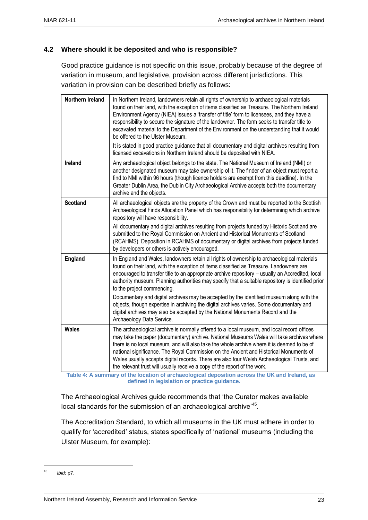#### <span id="page-24-0"></span>**4.2 Where should it be deposited and who is responsible?**

Good practice guidance is not specific on this issue, probably because of the degree of variation in museum, and legislative, provision across different jurisdictions. This variation in provision can be described briefly as follows:

| Northern Ireland | In Northern Ireland, landowners retain all rights of ownership to archaeological materials<br>found on their land, with the exception of items classified as Treasure. The Northern Ireland<br>Environment Agency (NIEA) issues a 'transfer of title' form to licensees, and they have a<br>responsibility to secure the signature of the landowner. The form seeks to transfer title to<br>excavated material to the Department of the Environment on the understanding that it would<br>be offered to the Ulster Museum.<br>It is stated in good practice guidance that all documentary and digital archives resulting from<br>licensed excavations in Northern Ireland should be deposited with NIEA.                             |
|------------------|--------------------------------------------------------------------------------------------------------------------------------------------------------------------------------------------------------------------------------------------------------------------------------------------------------------------------------------------------------------------------------------------------------------------------------------------------------------------------------------------------------------------------------------------------------------------------------------------------------------------------------------------------------------------------------------------------------------------------------------|
| Ireland          | Any archaeological object belongs to the state. The National Museum of Ireland (NMI) or<br>another designated museum may take ownership of it. The finder of an object must report a<br>find to NMI within 96 hours (though licence holders are exempt from this deadline). In the<br>Greater Dublin Area, the Dublin City Archaeological Archive accepts both the documentary<br>archive and the objects.                                                                                                                                                                                                                                                                                                                           |
| <b>Scotland</b>  | All archaeological objects are the property of the Crown and must be reported to the Scottish<br>Archaeological Finds Allocation Panel which has responsibility for determining which archive<br>repository will have responsibility.<br>All documentary and digital archives resulting from projects funded by Historic Scotland are<br>submitted to the Royal Commission on Ancient and Historical Monuments of Scotland<br>(RCAHMS). Deposition in RCAHMS of documentary or digital archives from projects funded<br>by developers or others is actively encouraged.                                                                                                                                                              |
| <b>England</b>   | In England and Wales, landowners retain all rights of ownership to archaeological materials<br>found on their land, with the exception of items classified as Treasure. Landowners are<br>encouraged to transfer title to an appropriate archive repository - usually an Accredited, local<br>authority museum. Planning authorities may specify that a suitable repository is identified prior<br>to the project commencing.<br>Documentary and digital archives may be accepted by the identified museum along with the<br>objects, though expertise in archiving the digital archives varies. Some documentary and<br>digital archives may also be accepted by the National Monuments Record and the<br>Archaeology Data Service. |
| <b>Wales</b>     | The archaeological archive is normally offered to a local museum, and local record offices<br>may take the paper (documentary) archive. National Museums Wales will take archives where<br>there is no local museum, and will also take the whole archive where it is deemed to be of<br>national significance. The Royal Commission on the Ancient and Historical Monuments of<br>Wales usually accepts digital records. There are also four Welsh Archaeological Trusts, and<br>the relevant trust will usually receive a copy of the report of the work.<br>of the location of orchards wisel demonition covered the                                                                                                              |

 **Table 4: A summary of the location of archaeological deposition across the UK and Ireland, as defined in legislation or practice guidance.**

The Archaeological Archives guide recommends that 'the Curator makes available local standards for the submission of an archaeological archive<sup>'45</sup>.

The Accreditation Standard, to which all museums in the UK must adhere in order to qualify for 'accredited' status, states specifically of 'national' museums (including the Ulster Museum, for example):

 $45$ *Ibid*: p7.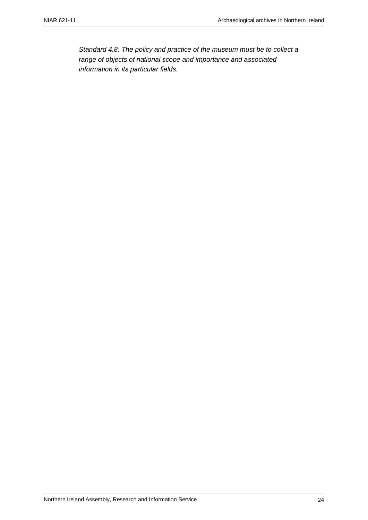<span id="page-25-0"></span>*Standard 4.8: The policy and practice of the museum must be to collect a range of objects of national scope and importance and associated information in its particular fields.*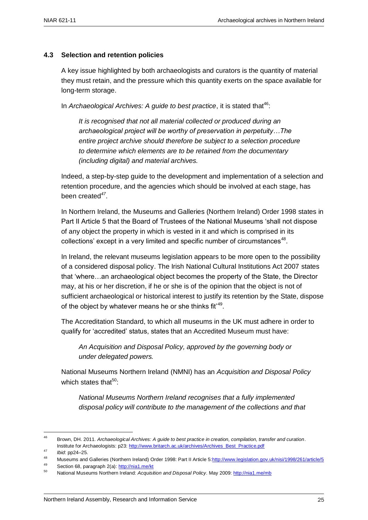#### **4.3 Selection and retention policies**

A key issue highlighted by both archaeologists and curators is the quantity of material they must retain, and the pressure which this quantity exerts on the space available for long-term storage.

In *Archaeological Archives: A guide to best practice*, it is stated that<sup>46</sup>:

*It is recognised that not all material collected or produced during an archaeological project will be worthy of preservation in perpetuity…The entire project archive should therefore be subject to a selection procedure to determine which elements are to be retained from the documentary (including digital) and material archives.*

Indeed, a step-by-step guide to the development and implementation of a selection and retention procedure, and the agencies which should be involved at each stage, has been created*<sup>47</sup>* .

In Northern Ireland, the Museums and Galleries (Northern Ireland) Order 1998 states in Part II Article 5 that the Board of Trustees of the National Museums 'shall not dispose of any object the property in which is vested in it and which is comprised in its collections' except in a very limited and specific number of circumstances $48$ .

In Ireland, the relevant museums legislation appears to be more open to the possibility of a considered disposal policy. The Irish National Cultural Institutions Act 2007 states that 'where…an archaeological object becomes the property of the State, the Director may, at his or her discretion, if he or she is of the opinion that the object is not of sufficient archaeological or historical interest to justify its retention by the State, dispose of the object by whatever means he or she thinks fit<sup> $49$ </sup>.

The Accreditation Standard, to which all museums in the UK must adhere in order to qualify for 'accredited' status, states that an Accredited Museum must have:

*An Acquisition and Disposal Policy, approved by the governing body or under delegated powers.*

<span id="page-26-0"></span>National Museums Northern Ireland (NMNI) has an *Acquisition and Disposal Policy* which states that $50$ :

*National Museums Northern Ireland recognises that a fully implemented disposal policy will contribute to the management of the collections and that* 

1

49 Section 68, paragraph 2(a):  $\frac{http://nia1-me/kt}{http://nia1-me/kt}$ 

<sup>46</sup> Brown, DH. 2011. *Archaeological Archives: A guide to best practice in creation, compilation, transfer and curation*. Institute for Archaeologists: p23[: http://www.britarch.ac.uk/archives/Archives\\_Best\\_Practice.pdf](http://www.britarch.ac.uk/archives/Archives_Best_Practice.pdf)

<sup>47</sup> *Ibid*: pp24–25.

<sup>48</sup> Museums and Galleries (Northern Ireland) Order 1998: Part II Article 5: http://www.legislation.gov.uk/nisi/1998/261/article/5

<sup>50</sup> National Museums Northern Ireland: *Acquisition and Disposal Policy*. May 2009[: http://nia1.me/mb](http://nia1.me/mb)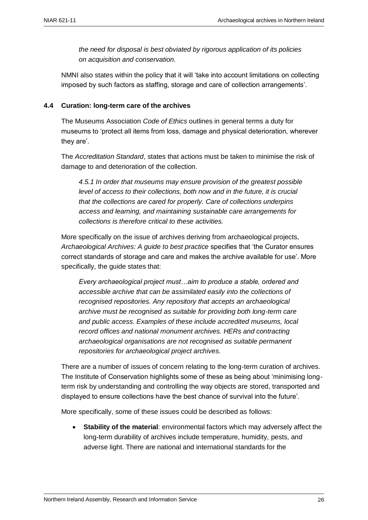*the need for disposal is best obviated by rigorous application of its policies on acquisition and conservation.*

NMNI also states within the policy that it will 'take into account limitations on collecting imposed by such factors as staffing, storage and care of collection arrangements'.

#### **4.4 Curation: long-term care of the archives**

The Museums Association *Code of Ethics* outlines in general terms a duty for museums to 'protect all items from loss, damage and physical deterioration, wherever they are'.

The *Accreditation Standard*, states that actions must be taken to minimise the risk of damage to and deterioration of the collection.

*4.5.1 In order that museums may ensure provision of the greatest possible level of access to their collections, both now and in the future, it is crucial that the collections are cared for properly. Care of collections underpins access and learning, and maintaining sustainable care arrangements for collections is therefore critical to these activities.*

More specifically on the issue of archives deriving from archaeological projects, *Archaeological Archives: A guide to best practice* specifies that 'the Curator ensures correct standards of storage and care and makes the archive available for use'. More specifically, the guide states that:

*Every archaeological project must…aim to produce a stable, ordered and accessible archive that can be assimilated easily into the collections of recognised repositories. Any repository that accepts an archaeological archive must be recognised as suitable for providing both long-term care and public access. Examples of these include accredited museums, local record offices and national monument archives. HERs and contracting archaeological organisations are not recognised as suitable permanent repositories for archaeological project archives.*

There are a number of issues of concern relating to the long-term curation of archives. The Institute of Conservation highlights some of these as being about 'minimising longterm risk by understanding and controlling the way objects are stored, transported and displayed to ensure collections have the best chance of survival into the future'.

More specifically, some of these issues could be described as follows:

 **Stability of the material**: environmental factors which may adversely affect the long-term durability of archives include temperature, humidity, pests, and adverse light. There are national and international standards for the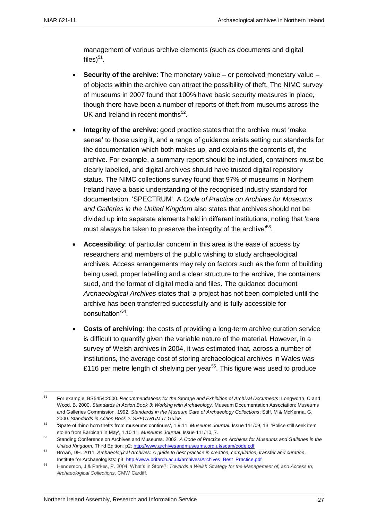<u>.</u>

management of various archive elements (such as documents and digital files) $^{51}$ .

- **Security of the archive**: The monetary value or perceived monetary value of objects within the archive can attract the possibility of theft. The NIMC survey of museums in 2007 found that 100% have basic security measures in place, though there have been a number of reports of theft from museums across the UK and Ireland in recent months<sup>52</sup>.
- **Integrity of the archive**: good practice states that the archive must 'make sense' to those using it, and a range of guidance exists setting out standards for the documentation which both makes up, and explains the contents of, the archive. For example, a summary report should be included, containers must be clearly labelled, and digital archives should have trusted digital repository status. The NIMC collections survey found that 97% of museums in Northern Ireland have a basic understanding of the recognised industry standard for documentation, 'SPECTRUM'. A *Code of Practice on Archives for Museums and Galleries in the United Kingdom* also states that archives should not be divided up into separate elements held in different institutions, noting that 'care must always be taken to preserve the integrity of the archive'<sup>53</sup>.
- **Accessibility**: of particular concern in this area is the ease of access by researchers and members of the public wishing to study archaeological archives. Access arrangements may rely on factors such as the form of building being used, proper labelling and a clear structure to the archive, the containers sued, and the format of digital media and files. The guidance document *Archaeological Archives* states that 'a project has not been completed until the archive has been transferred successfully and is fully accessible for consultation'<sup>54</sup>.
- **Costs of archiving**: the costs of providing a long-term archive curation service is difficult to quantify given the variable nature of the material. However, in a survey of Welsh archives in 2004, it was estimated that, across a number of institutions, the average cost of storing archaeological archives in Wales was £116 per metre length of shelving per year<sup>55</sup>. This figure was used to produce

<sup>51</sup> For example, BS5454:2000. *Recommendations for the Storage and Exhibition of Archival Documents*; Longworth, C and Wood, B. 2000. *Standards in Action Book 3: Working with Archaeology*. Museum Documentation Association; Museums and Galleries Commission. 1992. *Standards in the Museum Care of Archaeology Collections*; Stiff, M & McKenna, G. 2000. *Standards in Action Book 2: SPECTRUM IT Guide*.

<sup>52</sup> 'Spate of rhino horn thefts from museums continues', 1.9.11. *Museums Journal*. Issue 111/09, 13; 'Police still seek item stolen from Barbican in May', 1.10.11. *Museums Journal*. Issue 111/10, 7.

<sup>53</sup> Standing Conference on Archives and Museums. 2002. *A Code of Practice on Archives for Museums and Galleries in the United Kingdom.* Third Edition: p2:<http://www.archivesandmuseums.org.uk/scam/code.pdf>

<sup>54</sup> Brown, DH. 2011. *Archaeological Archives: A guide to best practice in creation, compilation, transfer and curation*. Institute for Archaeologists: p3: [http://www.britarch.ac.uk/archives/Archives\\_Best\\_Practice.pdf](http://www.britarch.ac.uk/archives/Archives_Best_Practice.pdf)

<sup>55</sup> Henderson, J & Parkes, P. 2004. What's in Store?: *Towards a Welsh Strategy for the Management of, and Access to, Archaeological Collections*. CMW Cardiff.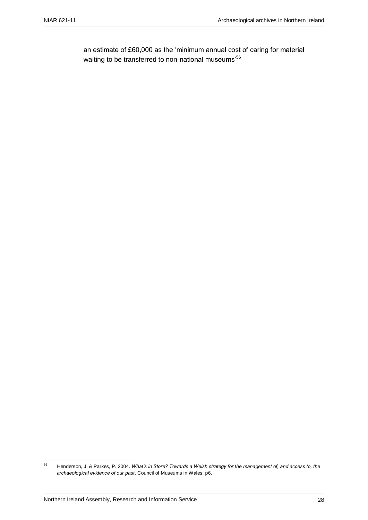an estimate of £60,000 as the 'minimum annual cost of caring for material waiting to be transferred to non-national museums'<sup>56</sup>

<sup>56</sup> <sup>56</sup> Henderson, J, & Parkes, P. 2004. *What's in Store? Towards a Welsh strategy for the management of, and access to, the archaeological evidence of our past*. Council of Museums in Wales: p6.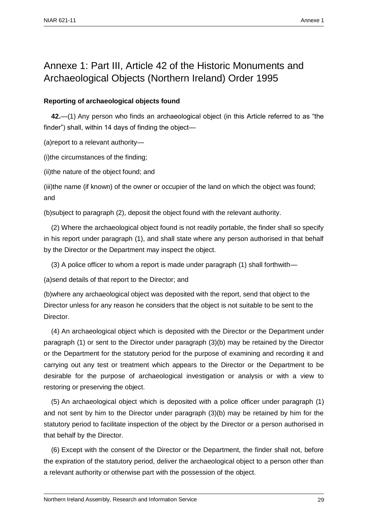### Annexe 1: Part III, Article 42 of the Historic Monuments and Archaeological Objects (Northern Ireland) Order 1995

#### **Reporting of archaeological objects found**

**42.**—(1) Any person who finds an archaeological object (in this Article referred to as "the finder") shall, within 14 days of finding the object—

(a)report to a relevant authority—

(i)the circumstances of the finding;

(ii)the nature of the object found; and

(iii)the name (if known) of the owner or occupier of the land on which the object was found; and

(b)subject to paragraph (2), deposit the object found with the relevant authority.

(2) Where the archaeological object found is not readily portable, the finder shall so specify in his report under paragraph (1), and shall state where any person authorised in that behalf by the Director or the Department may inspect the object.

(3) A police officer to whom a report is made under paragraph (1) shall forthwith—

(a)send details of that report to the Director; and

(b)where any archaeological object was deposited with the report, send that object to the Director unless for any reason he considers that the object is not suitable to be sent to the Director.

(4) An archaeological object which is deposited with the Director or the Department under paragraph (1) or sent to the Director under paragraph (3)(b) may be retained by the Director or the Department for the statutory period for the purpose of examining and recording it and carrying out any test or treatment which appears to the Director or the Department to be desirable for the purpose of archaeological investigation or analysis or with a view to restoring or preserving the object.

(5) An archaeological object which is deposited with a police officer under paragraph (1) and not sent by him to the Director under paragraph (3)(b) may be retained by him for the statutory period to facilitate inspection of the object by the Director or a person authorised in that behalf by the Director.

(6) Except with the consent of the Director or the Department, the finder shall not, before the expiration of the statutory period, deliver the archaeological object to a person other than a relevant authority or otherwise part with the possession of the object.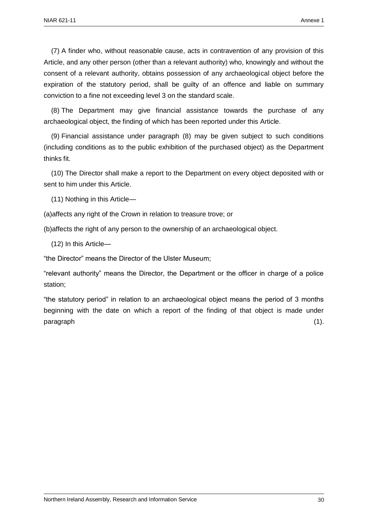(7) A finder who, without reasonable cause, acts in contravention of any provision of this Article, and any other person (other than a relevant authority) who, knowingly and without the consent of a relevant authority, obtains possession of any archaeological object before the expiration of the statutory period, shall be guilty of an offence and liable on summary conviction to a fine not exceeding level 3 on the standard scale.

(8) The Department may give financial assistance towards the purchase of any archaeological object, the finding of which has been reported under this Article.

(9) Financial assistance under paragraph (8) may be given subject to such conditions (including conditions as to the public exhibition of the purchased object) as the Department thinks fit.

(10) The Director shall make a report to the Department on every object deposited with or sent to him under this Article.

(11) Nothing in this Article—

(a)affects any right of the Crown in relation to treasure trove; or

(b)affects the right of any person to the ownership of an archaeological object.

(12) In this Article—

"the Director" means the Director of the Ulster Museum;

"relevant authority" means the Director, the Department or the officer in charge of a police station;

"the statutory period" in relation to an archaeological object means the period of 3 months beginning with the date on which a report of the finding of that object is made under paragraph (1).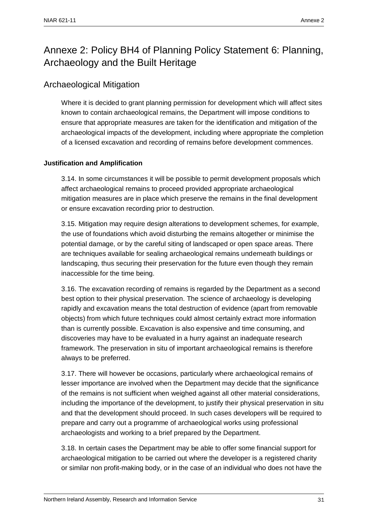### Annexe 2: Policy BH4 of Planning Policy Statement 6: Planning, Archaeology and the Built Heritage

#### Archaeological Mitigation

Where it is decided to grant planning permission for development which will affect sites known to contain archaeological remains, the Department will impose conditions to ensure that appropriate measures are taken for the identification and mitigation of the archaeological impacts of the development, including where appropriate the completion of a licensed excavation and recording of remains before development commences.

#### **Justification and Amplification**

3.14. In some circumstances it will be possible to permit development proposals which affect archaeological remains to proceed provided appropriate archaeological mitigation measures are in place which preserve the remains in the final development or ensure excavation recording prior to destruction.

3.15. Mitigation may require design alterations to development schemes, for example, the use of foundations which avoid disturbing the remains altogether or minimise the potential damage, or by the careful siting of landscaped or open space areas. There are techniques available for sealing archaeological remains underneath buildings or landscaping, thus securing their preservation for the future even though they remain inaccessible for the time being.

3.16. The excavation recording of remains is regarded by the Department as a second best option to their physical preservation. The science of archaeology is developing rapidly and excavation means the total destruction of evidence (apart from removable objects) from which future techniques could almost certainly extract more information than is currently possible. Excavation is also expensive and time consuming, and discoveries may have to be evaluated in a hurry against an inadequate research framework. The preservation in situ of important archaeological remains is therefore always to be preferred.

3.17. There will however be occasions, particularly where archaeological remains of lesser importance are involved when the Department may decide that the significance of the remains is not sufficient when weighed against all other material considerations, including the importance of the development, to justify their physical preservation in situ and that the development should proceed. In such cases developers will be required to prepare and carry out a programme of archaeological works using professional archaeologists and working to a brief prepared by the Department.

3.18. In certain cases the Department may be able to offer some financial support for archaeological mitigation to be carried out where the developer is a registered charity or similar non profit-making body, or in the case of an individual who does not have the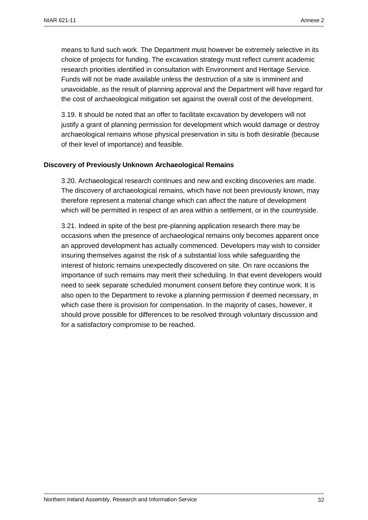means to fund such work. The Department must however be extremely selective in its choice of projects for funding. The excavation strategy must reflect current academic research priorities identified in consultation with Environment and Heritage Service. Funds will not be made available unless the destruction of a site is imminent and unavoidable, as the result of planning approval and the Department will have regard for the cost of archaeological mitigation set against the overall cost of the development.

3.19. It should be noted that an offer to facilitate excavation by developers will not justify a grant of planning permission for development which would damage or destroy archaeological remains whose physical preservation in situ is both desirable (because of their level of importance) and feasible.

#### **Discovery of Previously Unknown Archaeological Remains**

3.20. Archaeological research continues and new and exciting discoveries are made. The discovery of archaeological remains, which have not been previously known, may therefore represent a material change which can affect the nature of development which will be permitted in respect of an area within a settlement, or in the countryside.

3.21. Indeed in spite of the best pre-planning application research there may be occasions when the presence of archaeological remains only becomes apparent once an approved development has actually commenced. Developers may wish to consider insuring themselves against the risk of a substantial loss while safeguarding the interest of historic remains unexpectedly discovered on site. On rare occasions the importance of such remains may merit their scheduling. In that event developers would need to seek separate scheduled monument consent before they continue work. It is also open to the Department to revoke a planning permission if deemed necessary, in which case there is provision for compensation. In the majority of cases, however, it should prove possible for differences to be resolved through voluntary discussion and for a satisfactory compromise to be reached.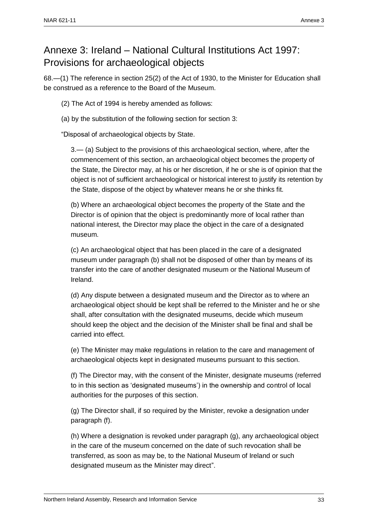### Annexe 3: Ireland – National Cultural Institutions Act 1997: Provisions for archaeological objects

68.—(1) The reference in section 25(2) of the Act of 1930, to the Minister for Education shall be construed as a reference to the Board of the Museum.

(2) The Act of 1994 is hereby amended as follows:

(a) by the substitution of the following section for section 3:

"Disposal of archaeological objects by State.

3.— (a) Subject to the provisions of this archaeological section, where, after the commencement of this section, an archaeological object becomes the property of the State, the Director may, at his or her discretion, if he or she is of opinion that the object is not of sufficient archaeological or historical interest to justify its retention by the State, dispose of the object by whatever means he or she thinks fit.

(b) Where an archaeological object becomes the property of the State and the Director is of opinion that the object is predominantly more of local rather than national interest, the Director may place the object in the care of a designated museum.

(c) An archaeological object that has been placed in the care of a designated museum under paragraph (b) shall not be disposed of other than by means of its transfer into the care of another designated museum or the National Museum of Ireland.

(d) Any dispute between a designated museum and the Director as to where an archaeological object should be kept shall be referred to the Minister and he or she shall, after consultation with the designated museums, decide which museum should keep the object and the decision of the Minister shall be final and shall be carried into effect.

(e) The Minister may make regulations in relation to the care and management of archaeological objects kept in designated museums pursuant to this section.

(f) The Director may, with the consent of the Minister, designate museums (referred to in this section as 'designated museums') in the ownership and control of local authorities for the purposes of this section.

(g) The Director shall, if so required by the Minister, revoke a designation under paragraph (f).

(h) Where a designation is revoked under paragraph (g), any archaeological object in the care of the museum concerned on the date of such revocation shall be transferred, as soon as may be, to the National Museum of Ireland or such designated museum as the Minister may direct".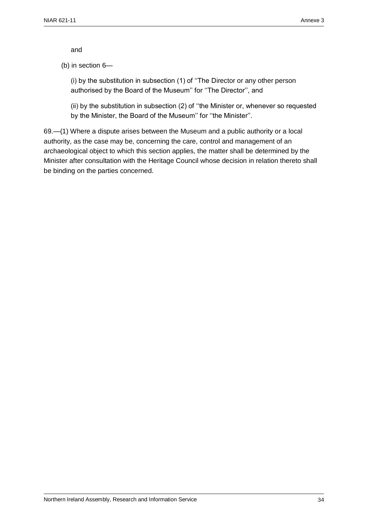and

(b) in section 6—

(i) by the substitution in subsection (1) of ''The Director or any other person authorised by the Board of the Museum'' for ''The Director'', and

(ii) by the substitution in subsection (2) of ''the Minister or, whenever so requested by the Minister, the Board of the Museum'' for ''the Minister''.

69.—(1) Where a dispute arises between the Museum and a public authority or a local authority, as the case may be, concerning the care, control and management of an archaeological object to which this section applies, the matter shall be determined by the Minister after consultation with the Heritage Council whose decision in relation thereto shall be binding on the parties concerned.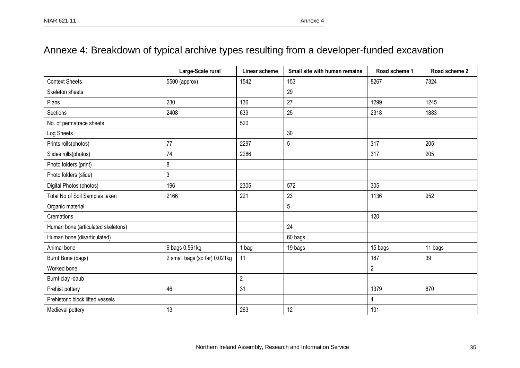### Annexe 4: Breakdown of typical archive types resulting from a developer-funded excavation

|                                    | Large-Scale rural             | Linear scheme  | Small site with human remains | Road scheme 1  | Road scheme 2 |
|------------------------------------|-------------------------------|----------------|-------------------------------|----------------|---------------|
| <b>Context Sheets</b>              | 5500 (approx)                 | 1542           | 153                           | 8267           | 7324          |
| Skeleton sheets                    |                               |                | 29                            |                |               |
| Plans                              | 230                           | 136            | 27                            | 1299           | 1245          |
| Sections                           | 2408                          | 639            | 25                            | 2318           | 1883          |
| No. of permatrace sheets           |                               | 520            |                               |                |               |
| Log Sheets                         |                               |                | 30                            |                |               |
| Prints rolls(photos)               | 77                            | 2297           | 5                             | 317            | 205           |
| Slides rolls(photos)               | 74                            | 2286           |                               | 317            | 205           |
| Photo folders (print)              | 8                             |                |                               |                |               |
| Photo folders (slide)              | 3                             |                |                               |                |               |
| Digital Photos (photos)            | 196                           | 2305           | 572                           | 305            |               |
| Total No of Soil Samples taken     | 2166                          | 221            | 23                            | 1136           | 952           |
| Organic material                   |                               |                | 5                             |                |               |
| Cremations                         |                               |                |                               | 120            |               |
| Human bone (articulated skeletons) |                               |                | 24                            |                |               |
| Human bone (disarticulated)        |                               |                | 60 bags                       |                |               |
| Animal bone                        | 6 bags 0.561kg                | 1 bag          | 19 bags                       | 15 bags        | 11 bags       |
| Burnt Bone (bags)                  | 2 small bags (so far) 0.021kg | 11             |                               | 187            | 39            |
| Worked bone                        |                               |                |                               | $\overline{c}$ |               |
| Burnt clay -daub                   |                               | $\overline{2}$ |                               |                |               |
| Prehist pottery                    | 46                            | 31             |                               | 1379           | 870           |
| Prehistoric block lifted vessels   |                               |                |                               | 4              |               |
| Medieval pottery                   | 13                            | 263            | 12                            | 101            |               |